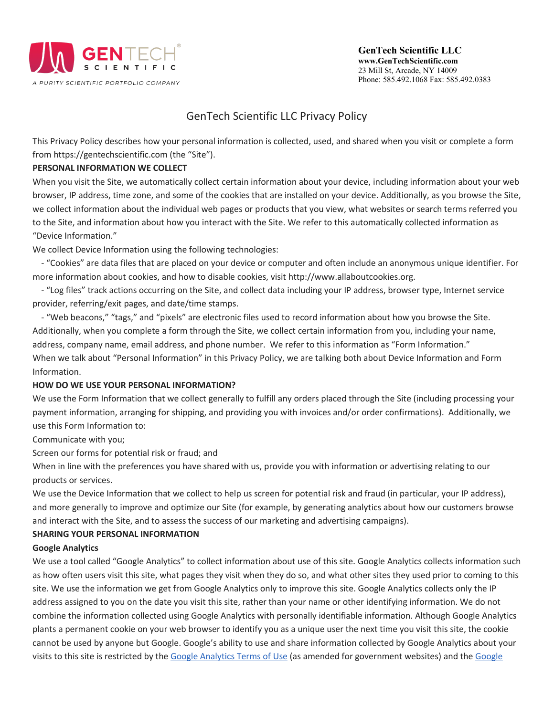

**GenTech Scientific LLC www.GenTechScientific.com** 23 Mill St, Arcade, NY 14009 Phone: 585.492.1068 Fax: 585.492.0383

# GenTech Scientific LLC Privacy Policy

This Privacy Policy describes how your personal information is collected, used, and shared when you visit or complete a form from https://gentechscientific.com (the "Site").

## **PERSONAL INFORMATION WE COLLECT**

When you visit the Site, we automatically collect certain information about your device, including information about your web browser, IP address, time zone, and some of the cookies that are installed on your device. Additionally, as you browse the Site, we collect information about the individual web pages or products that you view, what websites or search terms referred you to the Site, and information about how you interact with the Site. We refer to this automatically collected information as "Device Information."

We collect Device Information using the following technologies:

- "Cookies" are data files that are placed on your device or computer and often include an anonymous unique identifier. For more information about cookies, and how to disable cookies, visit http://www.allaboutcookies.org.

- "Log files" track actions occurring on the Site, and collect data including your IP address, browser type, Internet service provider, referring/exit pages, and date/time stamps.

- "Web beacons," "tags," and "pixels" are electronic files used to record information about how you browse the Site. Additionally, when you complete a form through the Site, we collect certain information from you, including your name, address, company name, email address, and phone number. We refer to this information as "Form Information." When we talk about "Personal Information" in this Privacy Policy, we are talking both about Device Information and Form Information.

# **HOW DO WE USE YOUR PERSONAL INFORMATION?**

We use the Form Information that we collect generally to fulfill any orders placed through the Site (including processing your payment information, arranging for shipping, and providing you with invoices and/or order confirmations). Additionally, we use this Form Information to:

Communicate with you;

Screen our forms for potential risk or fraud; and

When in line with the preferences you have shared with us, provide you with information or advertising relating to our products or services.

We use the Device Information that we collect to help us screen for potential risk and fraud (in particular, your IP address), and more generally to improve and optimize our Site (for example, by generating analytics about how our customers browse and interact with the Site, and to assess the success of our marketing and advertising campaigns).

# **SHARING YOUR PERSONAL INFORMATION**

### **Google Analytics**

We use a tool called "Google Analytics" to collect information about use of this site. Google Analytics collects information such as how often users visit this site, what pages they visit when they do so, and what other sites they used prior to coming to this site. We use the information we get from Google Analytics only to improve this site. Google Analytics collects only the IP address assigned to you on the date you visit this site, rather than your name or other identifying information. We do not combine the information collected using Google Analytics with personally identifiable information. Although Google Analytics plants a permanent cookie on your web browser to identify you as a unique user the next time you visit this site, the cookie cannot be used by anyone but Google. Google's ability to use and share information collected by Google Analytics about your visits to this site is restricted by the [Google Analytics Terms of Use](http://www.google.com/analytics/tos.html) (as amended for government websites) and the Google